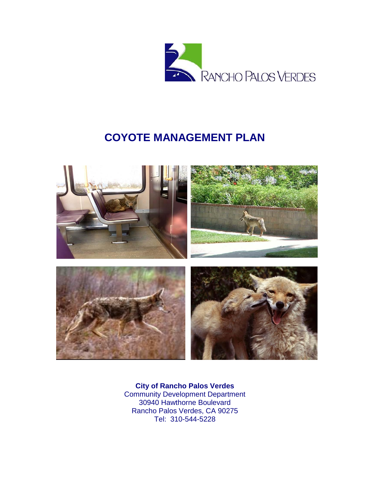

# **COYOTE MANAGEMENT PLAN**



**City of Rancho Palos Verdes** Community Development Department 30940 Hawthorne Boulevard Rancho Palos Verdes, CA 90275 Tel: 310-544-5228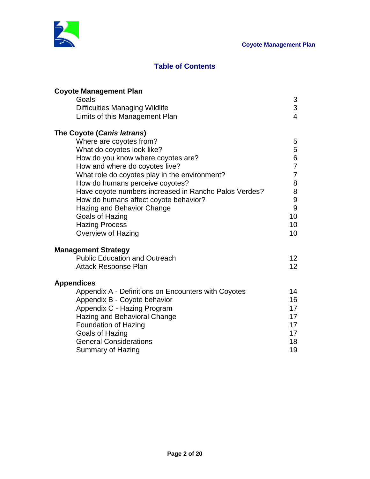

# **Table of Contents**

| <b>Coyote Management Plan</b>                         |                  |
|-------------------------------------------------------|------------------|
| Goals                                                 | 3                |
| <b>Difficulties Managing Wildlife</b>                 | 3                |
| Limits of this Management Plan                        | $\overline{4}$   |
| The Coyote (Canis latrans)                            |                  |
| Where are coyotes from?                               | 5                |
| What do coyotes look like?                            | 5                |
| How do you know where coyotes are?                    | $\boldsymbol{6}$ |
| How and where do coyotes live?                        | $\overline{7}$   |
| What role do coyotes play in the environment?         | $\overline{7}$   |
| How do humans perceive coyotes?                       | 8                |
| Have coyote numbers increased in Rancho Palos Verdes? | 8                |
| How do humans affect coyote behavior?                 | 9                |
| Hazing and Behavior Change                            | 9                |
| <b>Goals of Hazing</b>                                | 10               |
| <b>Hazing Process</b>                                 | 10               |
| Overview of Hazing                                    | 10               |
| <b>Management Strategy</b>                            |                  |
| <b>Public Education and Outreach</b>                  | 12               |
| Attack Response Plan                                  | 12               |
| <b>Appendices</b>                                     |                  |
| Appendix A - Definitions on Encounters with Coyotes   | 14               |
| Appendix B - Coyote behavior                          | 16               |
| Appendix C - Hazing Program                           | 17               |
| Hazing and Behavioral Change                          | 17               |
| <b>Foundation of Hazing</b>                           | 17               |
| Goals of Hazing                                       | 17               |
| <b>General Considerations</b>                         | 18               |
| Summary of Hazing                                     | 19               |
|                                                       |                  |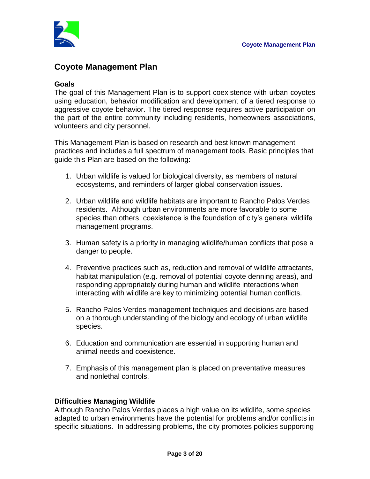

# **Coyote Management Plan**

### **Goals**

The goal of this Management Plan is to support coexistence with urban coyotes using education, behavior modification and development of a tiered response to aggressive coyote behavior. The tiered response requires active participation on the part of the entire community including residents, homeowners associations, volunteers and city personnel.

This Management Plan is based on research and best known management practices and includes a full spectrum of management tools. Basic principles that guide this Plan are based on the following:

- 1. Urban wildlife is valued for biological diversity, as members of natural ecosystems, and reminders of larger global conservation issues.
- 2. Urban wildlife and wildlife habitats are important to Rancho Palos Verdes residents. Although urban environments are more favorable to some species than others, coexistence is the foundation of city's general wildlife management programs.
- 3. Human safety is a priority in managing wildlife/human conflicts that pose a danger to people.
- 4. Preventive practices such as, reduction and removal of wildlife attractants, habitat manipulation (e.g. removal of potential coyote denning areas), and responding appropriately during human and wildlife interactions when interacting with wildlife are key to minimizing potential human conflicts.
- 5. Rancho Palos Verdes management techniques and decisions are based on a thorough understanding of the biology and ecology of urban wildlife species.
- 6. Education and communication are essential in supporting human and animal needs and coexistence.
- 7. Emphasis of this management plan is placed on preventative measures and nonlethal controls.

# **Difficulties Managing Wildlife**

Although Rancho Palos Verdes places a high value on its wildlife, some species adapted to urban environments have the potential for problems and/or conflicts in specific situations. In addressing problems, the city promotes policies supporting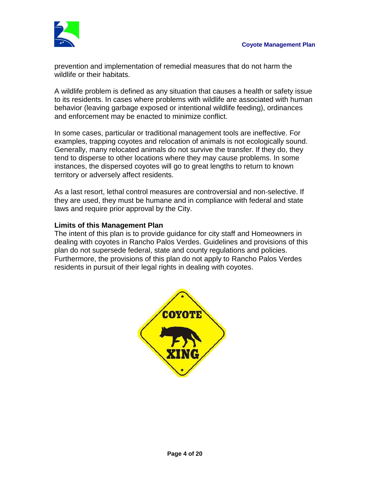

prevention and implementation of remedial measures that do not harm the wildlife or their habitats.

A wildlife problem is defined as any situation that causes a health or safety issue to its residents. In cases where problems with wildlife are associated with human behavior (leaving garbage exposed or intentional wildlife feeding), ordinances and enforcement may be enacted to minimize conflict.

In some cases, particular or traditional management tools are ineffective. For examples, trapping coyotes and relocation of animals is not ecologically sound. Generally, many relocated animals do not survive the transfer. If they do, they tend to disperse to other locations where they may cause problems. In some instances, the dispersed coyotes will go to great lengths to return to known territory or adversely affect residents.

As a last resort, lethal control measures are controversial and non‐selective. If they are used, they must be humane and in compliance with federal and state laws and require prior approval by the City.

### **Limits of this Management Plan**

The intent of this plan is to provide guidance for city staff and Homeowners in dealing with coyotes in Rancho Palos Verdes. Guidelines and provisions of this plan do not supersede federal, state and county regulations and policies. Furthermore, the provisions of this plan do not apply to Rancho Palos Verdes residents in pursuit of their legal rights in dealing with coyotes.

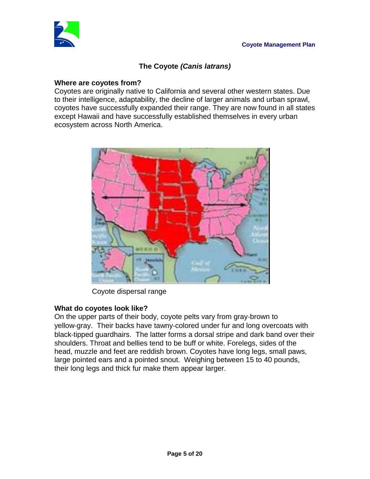

# **The Coyote** *(Canis latrans)*

### **Where are coyotes from?**

Coyotes are originally native to California and several other western states. Due to their intelligence, adaptability, the decline of larger animals and urban sprawl, coyotes have successfully expanded their range. They are now found in all states except Hawaii and have successfully established themselves in every urban ecosystem across North America.



Coyote dispersal range

# **What do coyotes look like?**

On the upper parts of their body, coyote pelts vary from gray‐brown to yellow‐gray. Their backs have tawny‐colored under fur and long overcoats with black‐tipped guardhairs. The latter forms a dorsal stripe and dark band over their shoulders. Throat and bellies tend to be buff or white. Forelegs, sides of the head, muzzle and feet are reddish brown. Coyotes have long legs, small paws, large pointed ears and a pointed snout. Weighing between 15 to 40 pounds, their long legs and thick fur make them appear larger.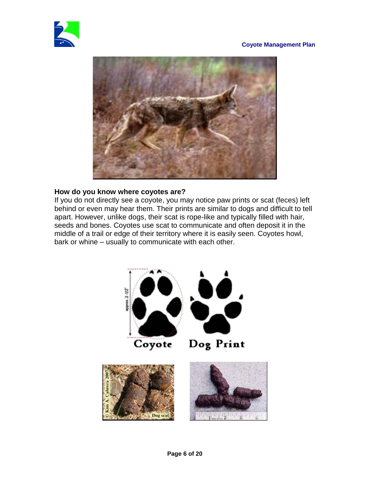#### **Coyote Management Plan**





#### **How do you know where coyotes are?**

If you do not directly see a coyote, you may notice paw prints or scat (feces) left behind or even may hear them. Their prints are similar to dogs and difficult to tell apart. However, unlike dogs, their scat is rope-like and typically filled with hair, seeds and bones. Coyotes use scat to communicate and often deposit it in the middle of a trail or edge of their territory where it is easily seen. Coyotes howl, bark or whine – usually to communicate with each other.

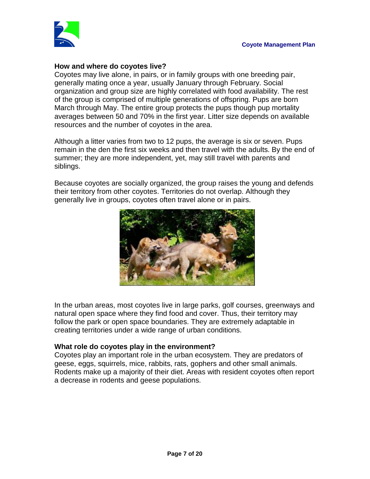

# **How and where do coyotes live?**

Coyotes may live alone, in pairs, or in family groups with one breeding pair, generally mating once a year, usually January through February. Social organization and group size are highly correlated with food availability. The rest of the group is comprised of multiple generations of offspring. Pups are born March through May. The entire group protects the pups though pup mortality averages between 50 and 70% in the first year. Litter size depends on available resources and the number of coyotes in the area.

Although a litter varies from two to 12 pups, the average is six or seven. Pups remain in the den the first six weeks and then travel with the adults. By the end of summer; they are more independent, yet, may still travel with parents and siblings.

Because coyotes are socially organized, the group raises the young and defends their territory from other coyotes. Territories do not overlap. Although they generally live in groups, coyotes often travel alone or in pairs.



In the urban areas, most coyotes live in large parks, golf courses, greenways and natural open space where they find food and cover. Thus, their territory may follow the park or open space boundaries. They are extremely adaptable in creating territories under a wide range of urban conditions.

# **What role do coyotes play in the environment?**

Coyotes play an important role in the urban ecosystem. They are predators of geese, eggs, squirrels, mice, rabbits, rats, gophers and other small animals. Rodents make up a majority of their diet. Areas with resident coyotes often report a decrease in rodents and geese populations.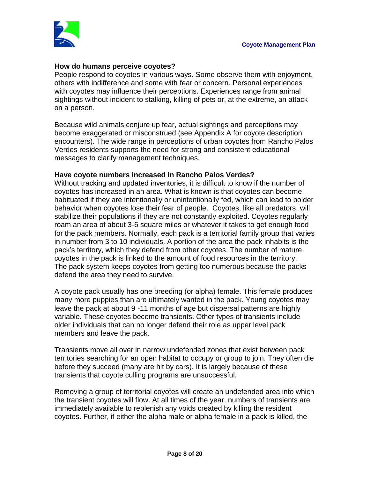

### **How do humans perceive coyotes?**

People respond to coyotes in various ways. Some observe them with enjoyment, others with indifference and some with fear or concern. Personal experiences with coyotes may influence their perceptions. Experiences range from animal sightings without incident to stalking, killing of pets or, at the extreme, an attack on a person.

Because wild animals conjure up fear, actual sightings and perceptions may become exaggerated or misconstrued (see Appendix A for coyote description encounters). The wide range in perceptions of urban coyotes from Rancho Palos Verdes residents supports the need for strong and consistent educational messages to clarify management techniques.

#### **Have coyote numbers increased in Rancho Palos Verdes?**

Without tracking and updated inventories, it is difficult to know if the number of coyotes has increased in an area. What is known is that coyotes can become habituated if they are intentionally or unintentionally fed, which can lead to bolder behavior when coyotes lose their fear of people. Coyotes, like all predators, will stabilize their populations if they are not constantly exploited. Coyotes regularly roam an area of about 3-6 square miles or whatever it takes to get enough food for the pack members. Normally, each pack is a territorial family group that varies in number from 3 to 10 individuals. A portion of the area the pack inhabits is the pack's territory, which they defend from other coyotes. The number of mature coyotes in the pack is linked to the amount of food resources in the territory. The pack system keeps coyotes from getting too numerous because the packs defend the area they need to survive.

A coyote pack usually has one breeding (or alpha) female. This female produces many more puppies than are ultimately wanted in the pack. Young coyotes may leave the pack at about 9 -11 months of age but dispersal patterns are highly variable. These coyotes become transients. Other types of transients include older individuals that can no longer defend their role as upper level pack members and leave the pack.

Transients move all over in narrow undefended zones that exist between pack territories searching for an open habitat to occupy or group to join. They often die before they succeed (many are hit by cars). It is largely because of these transients that coyote culling programs are unsuccessful.

Removing a group of territorial coyotes will create an undefended area into which the transient coyotes will flow. At all times of the year, numbers of transients are immediately available to replenish any voids created by killing the resident coyotes. Further, if either the alpha male or alpha female in a pack is killed, the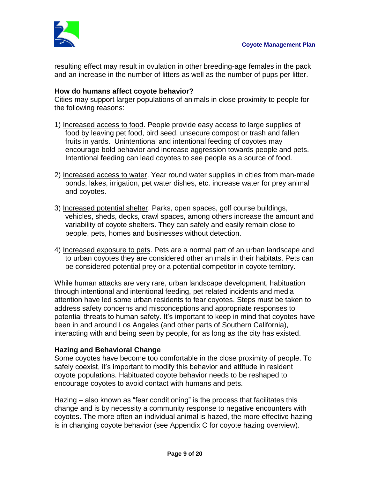

resulting effect may result in ovulation in other breeding-age females in the pack and an increase in the number of litters as well as the number of pups per litter.

# **How do humans affect coyote behavior?**

Cities may support larger populations of animals in close proximity to people for the following reasons:

- 1) Increased access to food. People provide easy access to large supplies of food by leaving pet food, bird seed, unsecure compost or trash and fallen fruits in yards. Unintentional and intentional feeding of coyotes may encourage bold behavior and increase aggression towards people and pets. Intentional feeding can lead coyotes to see people as a source of food.
- 2) Increased access to water. Year round water supplies in cities from man-made ponds, lakes, irrigation, pet water dishes, etc. increase water for prey animal and coyotes.
- 3) Increased potential shelter. Parks, open spaces, golf course buildings, vehicles, sheds, decks, crawl spaces, among others increase the amount and variability of coyote shelters. They can safely and easily remain close to people, pets, homes and businesses without detection.
- 4) Increased exposure to pets. Pets are a normal part of an urban landscape and to urban coyotes they are considered other animals in their habitats. Pets can be considered potential prey or a potential competitor in coyote territory.

While human attacks are very rare, urban landscape development, habituation through intentional and intentional feeding, pet related incidents and media attention have led some urban residents to fear coyotes. Steps must be taken to address safety concerns and misconceptions and appropriate responses to potential threats to human safety. It's important to keep in mind that coyotes have been in and around Los Angeles (and other parts of Southern California), interacting with and being seen by people, for as long as the city has existed.

# **Hazing and Behavioral Change**

Some coyotes have become too comfortable in the close proximity of people. To safely coexist, it's important to modify this behavior and attitude in resident coyote populations. Habituated coyote behavior needs to be reshaped to encourage coyotes to avoid contact with humans and pets.

Hazing – also known as "fear conditioning" is the process that facilitates this change and is by necessity a community response to negative encounters with coyotes. The more often an individual animal is hazed, the more effective hazing is in changing coyote behavior (see Appendix C for coyote hazing overview).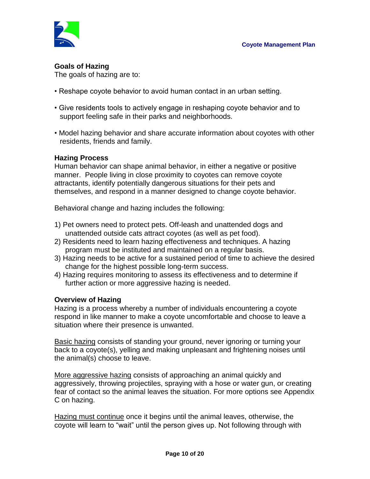

# **Goals of Hazing**

The goals of hazing are to:

- Reshape coyote behavior to avoid human contact in an urban setting.
- Give residents tools to actively engage in reshaping coyote behavior and to support feeling safe in their parks and neighborhoods.
- Model hazing behavior and share accurate information about coyotes with other residents, friends and family.

# **Hazing Process**

Human behavior can shape animal behavior, in either a negative or positive manner. People living in close proximity to coyotes can remove coyote attractants, identify potentially dangerous situations for their pets and themselves, and respond in a manner designed to change coyote behavior.

Behavioral change and hazing includes the following:

- 1) Pet owners need to protect pets. Off-leash and unattended dogs and unattended outside cats attract coyotes (as well as pet food).
- 2) Residents need to learn hazing effectiveness and techniques. A hazing program must be instituted and maintained on a regular basis.
- 3) Hazing needs to be active for a sustained period of time to achieve the desired change for the highest possible long-term success.
- 4) Hazing requires monitoring to assess its effectiveness and to determine if further action or more aggressive hazing is needed.

# **Overview of Hazing**

Hazing is a process whereby a number of individuals encountering a coyote respond in like manner to make a coyote uncomfortable and choose to leave a situation where their presence is unwanted.

Basic hazing consists of standing your ground, never ignoring or turning your back to a coyote(s), yelling and making unpleasant and frightening noises until the animal(s) choose to leave.

More aggressive hazing consists of approaching an animal quickly and aggressively, throwing projectiles, spraying with a hose or water gun, or creating fear of contact so the animal leaves the situation. For more options see Appendix C on hazing.

Hazing must continue once it begins until the animal leaves, otherwise, the coyote will learn to "wait" until the person gives up. Not following through with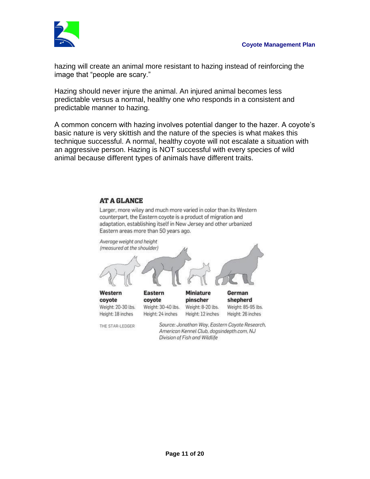

hazing will create an animal more resistant to hazing instead of reinforcing the image that "people are scary."

Hazing should never injure the animal. An injured animal becomes less predictable versus a normal, healthy one who responds in a consistent and predictable manner to hazing.

A common concern with hazing involves potential danger to the hazer. A coyote's basic nature is very skittish and the nature of the species is what makes this technique successful. A normal, healthy coyote will not escalate a situation with an aggressive person. Hazing is NOT successful with every species of wild animal because different types of animals have different traits.

#### **AT A GLANCE**

Larger, more wiley and much more varied in color than its Western counterpart, the Eastern coyote is a product of migration and adaptation, establishing itself in New Jersey and other urbanized Eastern areas more than 50 years ago.



American Kennel Club, dogsindepth.com, NJ Division of Fish and Wildlife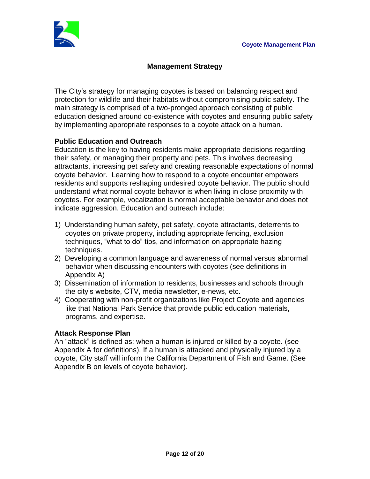

# **Management Strategy**

The City's strategy for managing coyotes is based on balancing respect and protection for wildlife and their habitats without compromising public safety. The main strategy is comprised of a two-pronged approach consisting of public education designed around co-existence with coyotes and ensuring public safety by implementing appropriate responses to a coyote attack on a human.

# **Public Education and Outreach**

Education is the key to having residents make appropriate decisions regarding their safety, or managing their property and pets. This involves decreasing attractants, increasing pet safety and creating reasonable expectations of normal coyote behavior. Learning how to respond to a coyote encounter empowers residents and supports reshaping undesired coyote behavior. The public should understand what normal coyote behavior is when living in close proximity with coyotes. For example, vocalization is normal acceptable behavior and does not indicate aggression. Education and outreach include:

- 1) Understanding human safety, pet safety, coyote attractants, deterrents to coyotes on private property, including appropriate fencing, exclusion techniques, "what to do" tips, and information on appropriate hazing techniques.
- 2) Developing a common language and awareness of normal versus abnormal behavior when discussing encounters with coyotes (see definitions in Appendix A)
- 3) Dissemination of information to residents, businesses and schools through the city's website, CTV, media newsletter, e-news, etc.
- 4) Cooperating with non-profit organizations like Project Coyote and agencies like that National Park Service that provide public education materials, programs, and expertise.

# **Attack Response Plan**

An "attack" is defined as: when a human is injured or killed by a coyote. (see Appendix A for definitions). If a human is attacked and physically injured by a coyote, City staff will inform the California Department of Fish and Game. (See Appendix B on levels of coyote behavior).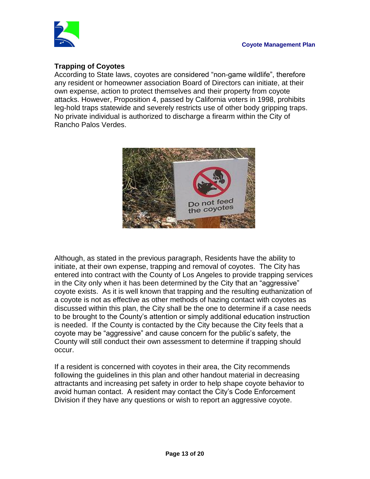

# **Trapping of Coyotes**

According to State laws, coyotes are considered "non-game wildlife", therefore any resident or homeowner association Board of Directors can initiate, at their own expense, action to protect themselves and their property from coyote attacks. However, Proposition 4, passed by California voters in 1998, prohibits leg-hold traps statewide and severely restricts use of other body gripping traps. No private individual is authorized to discharge a firearm within the City of Rancho Palos Verdes.



Although, as stated in the previous paragraph, Residents have the ability to initiate, at their own expense, trapping and removal of coyotes. The City has entered into contract with the County of Los Angeles to provide trapping services in the City only when it has been determined by the City that an "aggressive" coyote exists. As it is well known that trapping and the resulting euthanization of a coyote is not as effective as other methods of hazing contact with coyotes as discussed within this plan, the City shall be the one to determine if a case needs to be brought to the County's attention or simply additional education instruction is needed. If the County is contacted by the City because the City feels that a coyote may be "aggressive" and cause concern for the public's safety, the County will still conduct their own assessment to determine if trapping should occur.

If a resident is concerned with coyotes in their area, the City recommends following the guidelines in this plan and other handout material in decreasing attractants and increasing pet safety in order to help shape coyote behavior to avoid human contact. A resident may contact the City's Code Enforcement Division if they have any questions or wish to report an aggressive coyote.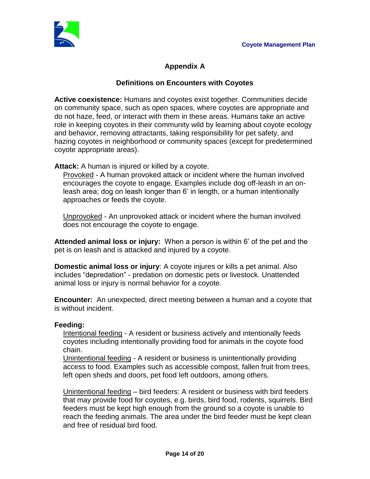

# **Appendix A**

# **Definitions on Encounters with Coyotes**

**Active coexistence:** Humans and coyotes exist together. Communities decide on community space, such as open spaces, where coyotes are appropriate and do not haze, feed, or interact with them in these areas. Humans take an active role in keeping coyotes in their community wild by learning about coyote ecology and behavior, removing attractants, taking responsibility for pet safety, and hazing coyotes in neighborhood or community spaces (except for predetermined coyote appropriate areas).

**Attack:** A human is injured or killed by a coyote.

Provoked - A human provoked attack or incident where the human involved encourages the coyote to engage. Examples include dog off-leash in an onleash area; dog on leash longer than 6' in length, or a human intentionally approaches or feeds the coyote.

Unprovoked - An unprovoked attack or incident where the human involved does not encourage the coyote to engage.

**Attended animal loss or injury:** When a person is within 6' of the pet and the pet is on leash and is attacked and injured by a coyote.

**Domestic animal loss or injury**: A coyote injures or kills a pet animal. Also includes "depredation" - predation on domestic pets or livestock. Unattended animal loss or injury is normal behavior for a coyote.

**Encounter:** An unexpected, direct meeting between a human and a coyote that is without incident.

# **Feeding:**

Intentional feeding - A resident or business actively and intentionally feeds coyotes including intentionally providing food for animals in the coyote food chain.

Unintentional feeding - A resident or business is unintentionally providing access to food. Examples such as accessible compost, fallen fruit from trees, left open sheds and doors, pet food left outdoors, among others.

Unintentional feeding – bird feeders: A resident or business with bird feeders that may provide food for coyotes, e.g. birds, bird food, rodents, squirrels. Bird feeders must be kept high enough from the ground so a coyote is unable to reach the feeding animals. The area under the bird feeder must be kept clean and free of residual bird food.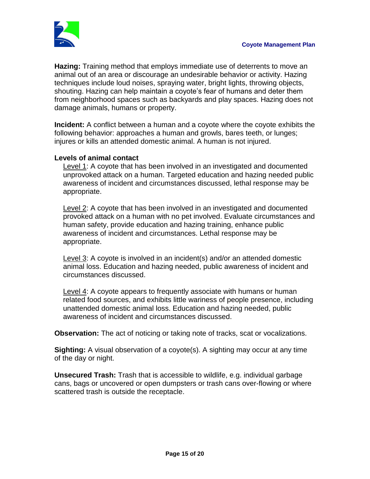

**Hazing:** Training method that employs immediate use of deterrents to move an animal out of an area or discourage an undesirable behavior or activity. Hazing techniques include loud noises, spraying water, bright lights, throwing objects, shouting. Hazing can help maintain a coyote's fear of humans and deter them from neighborhood spaces such as backyards and play spaces. Hazing does not damage animals, humans or property.

**Incident:** A conflict between a human and a coyote where the coyote exhibits the following behavior: approaches a human and growls, bares teeth, or lunges; injures or kills an attended domestic animal. A human is not injured.

# **Levels of animal contact**

Level 1: A coyote that has been involved in an investigated and documented unprovoked attack on a human. Targeted education and hazing needed public awareness of incident and circumstances discussed, lethal response may be appropriate.

Level 2: A coyote that has been involved in an investigated and documented provoked attack on a human with no pet involved. Evaluate circumstances and human safety, provide education and hazing training, enhance public awareness of incident and circumstances. Lethal response may be appropriate.

Level 3: A coyote is involved in an incident(s) and/or an attended domestic animal loss. Education and hazing needed, public awareness of incident and circumstances discussed.

Level 4: A coyote appears to frequently associate with humans or human related food sources, and exhibits little wariness of people presence, including unattended domestic animal loss. Education and hazing needed, public awareness of incident and circumstances discussed.

**Observation:** The act of noticing or taking note of tracks, scat or vocalizations.

**Sighting:** A visual observation of a coyote(s). A sighting may occur at any time of the day or night.

**Unsecured Trash:** Trash that is accessible to wildlife, e.g. individual garbage cans, bags or uncovered or open dumpsters or trash cans over-flowing or where scattered trash is outside the receptacle.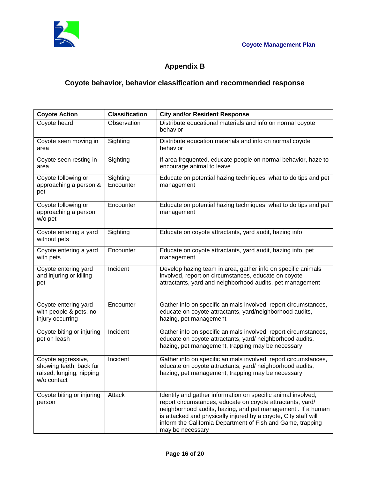

# **Appendix B**

# **Coyote behavior, behavior classification and recommended response**

| <b>Coyote Action</b>                                                                     | <b>Classification</b> | <b>City and/or Resident Response</b>                                                                                                                                                                                                                                                                                                             |
|------------------------------------------------------------------------------------------|-----------------------|--------------------------------------------------------------------------------------------------------------------------------------------------------------------------------------------------------------------------------------------------------------------------------------------------------------------------------------------------|
| Coyote heard                                                                             | Observation           | Distribute educational materials and info on normal coyote<br>behavior                                                                                                                                                                                                                                                                           |
| Coyote seen moving in<br>area                                                            | Sighting              | Distribute education materials and info on normal coyote<br>behavior                                                                                                                                                                                                                                                                             |
| Coyote seen resting in<br>area                                                           | Sighting              | If area frequented, educate people on normal behavior, haze to<br>encourage animal to leave                                                                                                                                                                                                                                                      |
| Coyote following or<br>approaching a person &<br>pet                                     | Sighting<br>Encounter | Educate on potential hazing techniques, what to do tips and pet<br>management                                                                                                                                                                                                                                                                    |
| Coyote following or<br>approaching a person<br>w/o pet                                   | Encounter             | Educate on potential hazing techniques, what to do tips and pet<br>management                                                                                                                                                                                                                                                                    |
| Coyote entering a yard<br>without pets                                                   | Sighting              | Educate on coyote attractants, yard audit, hazing info                                                                                                                                                                                                                                                                                           |
| Coyote entering a yard<br>with pets                                                      | Encounter             | Educate on coyote attractants, yard audit, hazing info, pet<br>management                                                                                                                                                                                                                                                                        |
| Coyote entering yard<br>and injuring or killing<br>pet                                   | Incident              | Develop hazing team in area, gather info on specific animals<br>involved, report on circumstances, educate on coyote<br>attractants, yard and neighborhood audits, pet management                                                                                                                                                                |
| Coyote entering yard<br>with people & pets, no<br>injury occurring                       | Encounter             | Gather info on specific animals involved, report circumstances,<br>educate on coyote attractants, yard/neighborhood audits,<br>hazing, pet management                                                                                                                                                                                            |
| Coyote biting or injuring<br>pet on leash                                                | Incident              | Gather info on specific animals involved, report circumstances,<br>educate on coyote attractants, yard/neighborhood audits,<br>hazing, pet management, trapping may be necessary                                                                                                                                                                 |
| Coyote aggressive,<br>showing teeth, back fur<br>raised, lunging, nipping<br>w/o contact | Incident              | Gather info on specific animals involved, report circumstances,<br>educate on coyote attractants, yard/neighborhood audits,<br>hazing, pet management, trapping may be necessary                                                                                                                                                                 |
| Coyote biting or injuring<br>person                                                      | Attack                | Identify and gather information on specific animal involved,<br>report circumstances, educate on coyote attractants, yard/<br>neighborhood audits, hazing, and pet management,. If a human<br>is attacked and physically injured by a coyote, City staff will<br>inform the California Department of Fish and Game, trapping<br>may be necessary |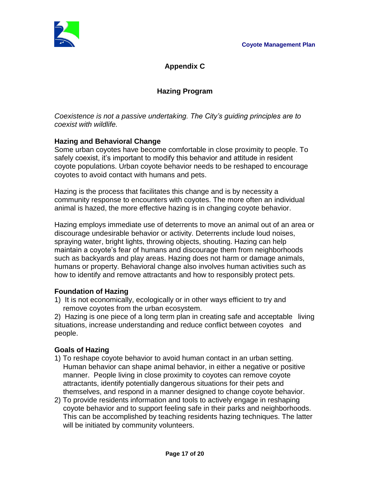

**Appendix C**

# **Hazing Program**

*Coexistence is not a passive undertaking. The City's guiding principles are to coexist with wildlife.*

# **Hazing and Behavioral Change**

Some urban coyotes have become comfortable in close proximity to people. To safely coexist, it's important to modify this behavior and attitude in resident coyote populations. Urban coyote behavior needs to be reshaped to encourage coyotes to avoid contact with humans and pets.

Hazing is the process that facilitates this change and is by necessity a community response to encounters with coyotes. The more often an individual animal is hazed, the more effective hazing is in changing coyote behavior.

Hazing employs immediate use of deterrents to move an animal out of an area or discourage undesirable behavior or activity. Deterrents include loud noises, spraying water, bright lights, throwing objects, shouting. Hazing can help maintain a coyote's fear of humans and discourage them from neighborhoods such as backyards and play areas. Hazing does not harm or damage animals, humans or property. Behavioral change also involves human activities such as how to identify and remove attractants and how to responsibly protect pets.

# **Foundation of Hazing**

1) It is not economically, ecologically or in other ways efficient to try and remove coyotes from the urban ecosystem.

2) Hazing is one piece of a long term plan in creating safe and acceptable living situations, increase understanding and reduce conflict between coyotes and people.

# **Goals of Hazing**

- 1) To reshape coyote behavior to avoid human contact in an urban setting. Human behavior can shape animal behavior, in either a negative or positive manner. People living in close proximity to coyotes can remove coyote attractants, identify potentially dangerous situations for their pets and themselves, and respond in a manner designed to change coyote behavior.
- 2) To provide residents information and tools to actively engage in reshaping coyote behavior and to support feeling safe in their parks and neighborhoods. This can be accomplished by teaching residents hazing techniques. The latter will be initiated by community volunteers.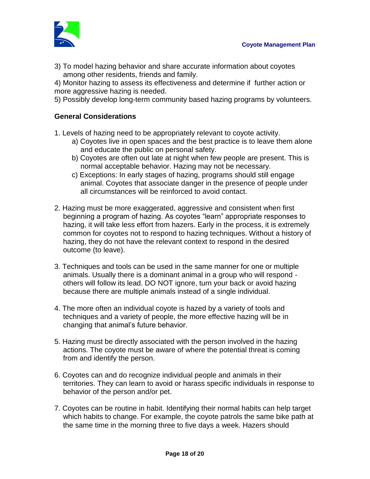

3) To model hazing behavior and share accurate information about coyotes among other residents, friends and family.

4) Monitor hazing to assess its effectiveness and determine if further action or more aggressive hazing is needed.

5) Possibly develop long-term community based hazing programs by volunteers.

### **General Considerations**

1. Levels of hazing need to be appropriately relevant to coyote activity.

- a) Coyotes live in open spaces and the best practice is to leave them alone and educate the public on personal safety.
- b) Coyotes are often out late at night when few people are present. This is normal acceptable behavior. Hazing may not be necessary.
- c) Exceptions: In early stages of hazing, programs should still engage animal. Coyotes that associate danger in the presence of people under all circumstances will be reinforced to avoid contact.
- 2. Hazing must be more exaggerated, aggressive and consistent when first beginning a program of hazing. As coyotes "learn" appropriate responses to hazing, it will take less effort from hazers. Early in the process, it is extremely common for coyotes not to respond to hazing techniques. Without a history of hazing, they do not have the relevant context to respond in the desired outcome (to leave).
- 3. Techniques and tools can be used in the same manner for one or multiple animals. Usually there is a dominant animal in a group who will respond others will follow its lead. DO NOT ignore, turn your back or avoid hazing because there are multiple animals instead of a single individual.
- 4. The more often an individual coyote is hazed by a variety of tools and techniques and a variety of people, the more effective hazing will be in changing that animal's future behavior.
- 5. Hazing must be directly associated with the person involved in the hazing actions. The coyote must be aware of where the potential threat is coming from and identify the person.
- 6. Coyotes can and do recognize individual people and animals in their territories. They can learn to avoid or harass specific individuals in response to behavior of the person and/or pet.
- 7. Coyotes can be routine in habit. Identifying their normal habits can help target which habits to change. For example, the coyote patrols the same bike path at the same time in the morning three to five days a week. Hazers should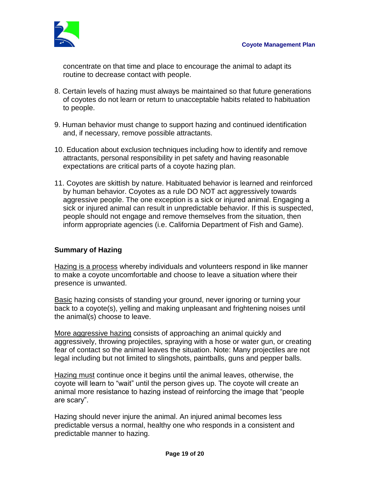

concentrate on that time and place to encourage the animal to adapt its routine to decrease contact with people.

- 8. Certain levels of hazing must always be maintained so that future generations of coyotes do not learn or return to unacceptable habits related to habituation to people.
- 9. Human behavior must change to support hazing and continued identification and, if necessary, remove possible attractants.
- 10. Education about exclusion techniques including how to identify and remove attractants, personal responsibility in pet safety and having reasonable expectations are critical parts of a coyote hazing plan.
- 11. Coyotes are skittish by nature. Habituated behavior is learned and reinforced by human behavior. Coyotes as a rule DO NOT act aggressively towards aggressive people. The one exception is a sick or injured animal. Engaging a sick or injured animal can result in unpredictable behavior. If this is suspected, people should not engage and remove themselves from the situation, then inform appropriate agencies (i.e. California Department of Fish and Game).

# **Summary of Hazing**

Hazing is a process whereby individuals and volunteers respond in like manner to make a coyote uncomfortable and choose to leave a situation where their presence is unwanted.

Basic hazing consists of standing your ground, never ignoring or turning your back to a coyote(s), yelling and making unpleasant and frightening noises until the animal(s) choose to leave.

More aggressive hazing consists of approaching an animal quickly and aggressively, throwing projectiles, spraying with a hose or water gun, or creating fear of contact so the animal leaves the situation. Note: Many projectiles are not legal including but not limited to slingshots, paintballs, guns and pepper balls.

Hazing must continue once it begins until the animal leaves, otherwise, the coyote will learn to "wait" until the person gives up. The coyote will create an animal more resistance to hazing instead of reinforcing the image that "people are scary".

Hazing should never injure the animal. An injured animal becomes less predictable versus a normal, healthy one who responds in a consistent and predictable manner to hazing.